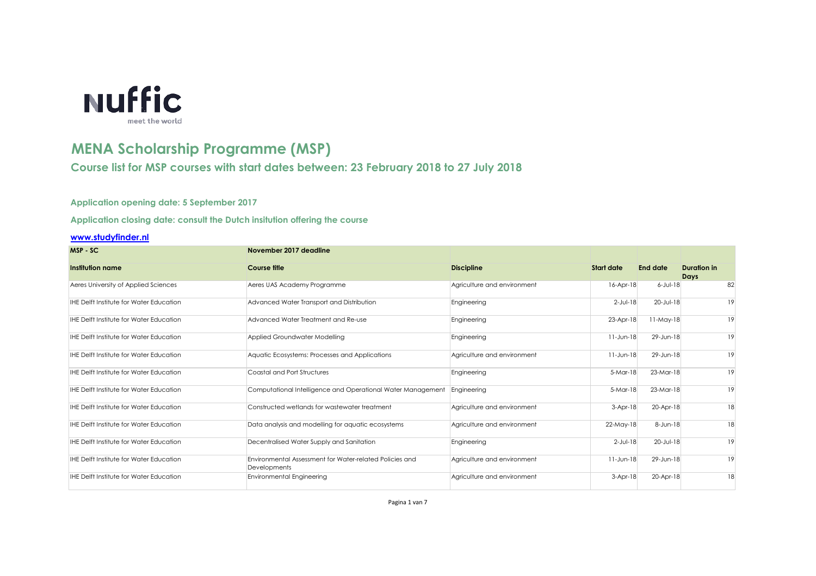

## **MENA Scholarship Programme (MSP)**

**Course list for MSP courses with start dates between: 23 February 2018 to 27 July 2018**

## **Application opening date: 5 September 2017**

**Application closing date: consult the Dutch insitution offering the course**

## **[www.studyfinder.nl](http://www.studyfinder.nl/)**

| MSP-SC                                         | November 2017 deadline                                                  |                             |                   |                 |                                   |
|------------------------------------------------|-------------------------------------------------------------------------|-----------------------------|-------------------|-----------------|-----------------------------------|
| <b>Institution name</b>                        | <b>Course title</b>                                                     | <b>Discipline</b>           | <b>Start date</b> | <b>End date</b> | <b>Duration in</b><br><b>Days</b> |
| Aeres University of Applied Sciences           | Aeres UAS Academy Programme                                             | Agriculture and environment | $16$ -Apr- $18$   | $6$ -Jul-18     | 82                                |
| <b>IHE Delft Institute for Water Education</b> | Advanced Water Transport and Distribution                               | Engineering                 | $2$ -Jul-18       | $20 - Jul - 18$ | 19                                |
| <b>IHE Delft Institute for Water Education</b> | Advanced Water Treatment and Re-use                                     | Engineering                 | $23$ -Apr-18      | $11$ -May-18    | 19                                |
| <b>IHE Delft Institute for Water Education</b> | Applied Groundwater Modelling                                           | Engineering                 | $11 - Jun-18$     | 29-Jun-18       | 19                                |
| <b>IHE Delft Institute for Water Education</b> | Aquatic Ecosystems: Processes and Applications                          | Agriculture and environment | $11$ -Jun-18      | 29-Jun-18       | 19                                |
| <b>IHE Delft Institute for Water Education</b> | <b>Coastal and Port Structures</b>                                      | Engineering                 | 5-Mar-18          | $23$ -Mar-18    | 19                                |
| <b>IHE Delft Institute for Water Education</b> | Computational Intelligence and Operational Water Management             | Engineering                 | $5-Mar-18$        | $23$ -Mar-18    | 19                                |
| <b>IHE Delft Institute for Water Education</b> | Constructed wetlands for wastewater treatment                           | Agriculture and environment | $3-Apr-18$        | 20-Apr-18       | 18                                |
| <b>IHE Delft Institute for Water Education</b> | Data analysis and modelling for aquatic ecosystems                      | Agriculture and environment | $22$ -May-18      | 8-Jun-18        | 18                                |
| <b>IHE Delft Institute for Water Education</b> | Decentralised Water Supply and Sanitation                               | Engineering                 | $2$ -Jul-18       | $20 - Jul - 18$ | 19                                |
| <b>IHE Delft Institute for Water Education</b> | Environmental Assessment for Water-related Policies and<br>Developments | Agriculture and environment | $11 - Jun-18$     | 29-Jun-18       | 19                                |
| <b>IHE Delft Institute for Water Education</b> | <b>Environmental Engineering</b>                                        | Agriculture and environment | $3-Apr-18$        | 20-Apr-18       | 18                                |
|                                                |                                                                         |                             |                   |                 |                                   |

Pagina 1 van 7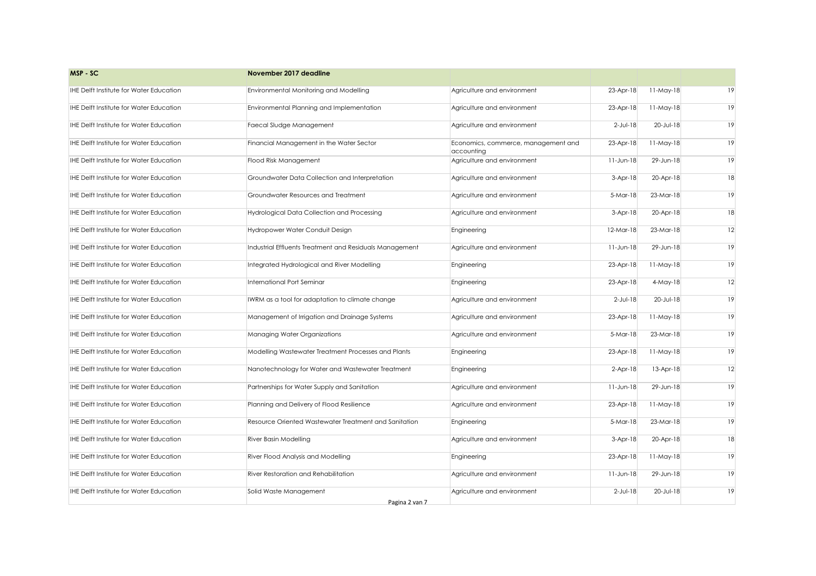| MSP-SC                                         | November 2017 deadline                                  |                                                   |               |              |    |
|------------------------------------------------|---------------------------------------------------------|---------------------------------------------------|---------------|--------------|----|
| <b>IHE Delft Institute for Water Education</b> | Environmental Monitoring and Modelling                  | Agriculture and environment                       | 23-Apr-18     | $11$ -May-18 | 19 |
| <b>IHE Delft Institute for Water Education</b> | Environmental Planning and Implementation               | Agriculture and environment                       | 23-Apr-18     | $11$ -May-18 | 19 |
| <b>IHE Delft Institute for Water Education</b> | Faecal Sludge Management                                | Agriculture and environment                       | $2$ -Jul-18   | 20-Jul-18    | 19 |
| <b>IHE Delft Institute for Water Education</b> | Financial Management in the Water Sector                | Economics, commerce, management and<br>accounting | 23-Apr-18     | $11$ -May-18 | 19 |
| <b>IHE Delft Institute for Water Education</b> | Flood Risk Management                                   | Agriculture and environment                       | $11 - Jun-18$ | 29-Jun-18    | 19 |
| <b>IHE Delft Institute for Water Education</b> | Groundwater Data Collection and Interpretation          | Agriculture and environment                       | $3-Apr-18$    | 20-Apr-18    | 18 |
| <b>IHE Delft Institute for Water Education</b> | <b>Groundwater Resources and Treatment</b>              | Agriculture and environment                       | $5-Mar-18$    | $23-Mar-18$  | 19 |
| <b>IHE Delft Institute for Water Education</b> | Hydrological Data Collection and Processing             | Agriculture and environment                       | $3-Apr-18$    | 20-Apr-18    | 18 |
| <b>IHE Delft Institute for Water Education</b> | Hydropower Water Conduit Design                         | Engineering                                       | $12-Mar-18$   | $23-Mar-18$  | 12 |
| <b>IHE Delft Institute for Water Education</b> | Industrial Effluents Treatment and Residuals Management | Agriculture and environment                       | $11 - Jun-18$ | 29-Jun-18    | 19 |
| <b>IHE Delft Institute for Water Education</b> | Integrated Hydrological and River Modelling             | Engineering                                       | 23-Apr-18     | $11$ -May-18 | 19 |
| <b>IHE Delft Institute for Water Education</b> | International Port Seminar                              | Engineering                                       | 23-Apr-18     | $4$ -May-18  | 12 |
| <b>IHE Delft Institute for Water Education</b> | IWRM as a tool for adaptation to climate change         | Agriculture and environment                       | $2$ -Jul-18   | 20-Jul-18    | 19 |
| <b>IHE Delft Institute for Water Education</b> | Management of Irrigation and Drainage Systems           | Agriculture and environment                       | 23-Apr-18     | $11$ -May-18 | 19 |
| <b>IHE Delft Institute for Water Education</b> | Managing Water Organizations                            | Agriculture and environment                       | $5-Mar-18$    | $23$ -Mar-18 | 19 |
| <b>IHE Delft Institute for Water Education</b> | Modelling Wastewater Treatment Processes and Plants     | Engineering                                       | 23-Apr-18     | $11$ -May-18 | 19 |
| <b>IHE Delft Institute for Water Education</b> | Nanotechnology for Water and Wastewater Treatment       | Engineering                                       | $2-Apr-18$    | $13$ -Apr-18 | 12 |
| <b>IHE Delft Institute for Water Education</b> | Partnerships for Water Supply and Sanitation            | Agriculture and environment                       | $11-Jun-18$   | 29-Jun-18    | 19 |
| <b>IHE Delft Institute for Water Education</b> | Planning and Delivery of Flood Resilience               | Agriculture and environment                       | 23-Apr-18     | $11$ -May-18 | 19 |
| <b>IHE Delft Institute for Water Education</b> | Resource Oriented Wastewater Treatment and Sanitation   | Engineering                                       | $5-Mar-18$    | $23$ -Mar-18 | 19 |
| <b>IHE Delft Institute for Water Education</b> | <b>River Basin Modelling</b>                            | Agriculture and environment                       | $3-Apr-18$    | 20-Apr-18    | 18 |
| <b>IHE Delft Institute for Water Education</b> | River Flood Analysis and Modelling                      | Engineering                                       | 23-Apr-18     | $11$ -May-18 | 19 |
| <b>IHE Delft Institute for Water Education</b> | River Restoration and Rehabilitation                    | Agriculture and environment                       | $11 - Jun-18$ | 29-Jun-18    | 19 |
| <b>IHE Delft Institute for Water Education</b> | Solid Waste Management                                  | Agriculture and environment                       | $2$ -Jul-18   | 20-Jul-18    | 19 |
|                                                | Pagina 2 van 7                                          |                                                   |               |              |    |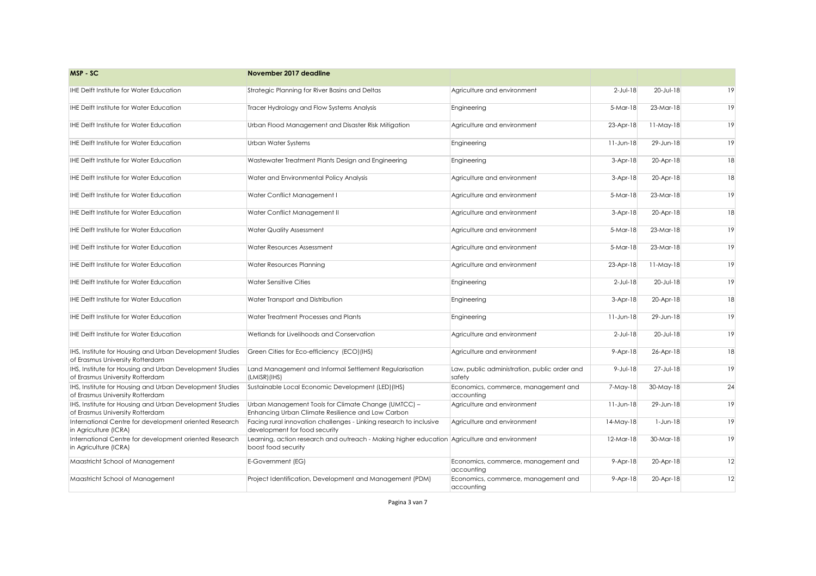| MSP-SC                                                                                      | November 2017 deadline                                                                                              |                                                        |                |                 |    |
|---------------------------------------------------------------------------------------------|---------------------------------------------------------------------------------------------------------------------|--------------------------------------------------------|----------------|-----------------|----|
| <b>IHE Delft Institute for Water Education</b>                                              | Strategic Planning for River Basins and Deltas                                                                      | Agriculture and environment                            | $2$ -Jul-18    | $20 - Jul - 18$ | 19 |
| <b>IHE Delft Institute for Water Education</b>                                              | Tracer Hydrology and Flow Systems Analysis                                                                          | Engineering                                            | 5-Mar-18       | $23$ -Mar-18    | 19 |
| <b>IHE Delft Institute for Water Education</b>                                              | Urban Flood Management and Disaster Risk Mitigation                                                                 | Agriculture and environment                            | 23-Apr-18      | $11$ -May-18    | 19 |
| <b>IHE Delft Institute for Water Education</b>                                              | Urban Water Systems                                                                                                 | Engineering                                            | $11 - Jun-18$  | 29-Jun-18       | 19 |
| <b>IHE Delft Institute for Water Education</b>                                              | Wastewater Treatment Plants Design and Engineering                                                                  | Engineering                                            | $3-Apr-18$     | 20-Apr-18       | 18 |
| <b>IHE Delft Institute for Water Education</b>                                              | Water and Environmental Policy Analysis                                                                             | Agriculture and environment                            | $3-Apr-18$     | 20-Apr-18       | 18 |
| <b>IHE Delft Institute for Water Education</b>                                              | Water Conflict Management I                                                                                         | Agriculture and environment                            | 5-Mar-18       | $23$ -Mar-18    | 19 |
| <b>IHE Delft Institute for Water Education</b>                                              | Water Conflict Management II                                                                                        | Agriculture and environment                            | $3-Apr-18$     | 20-Apr-18       | 18 |
| <b>IHE Delft Institute for Water Education</b>                                              | <b>Water Quality Assessment</b>                                                                                     | Agriculture and environment                            | $5-Mar-18$     | 23-Mar-18       | 19 |
| <b>IHE Delft Institute for Water Education</b>                                              | Water Resources Assessment                                                                                          | Agriculture and environment                            | 5-Mar-18       | $23$ -Mar-18    | 19 |
| <b>IHE Delft Institute for Water Education</b>                                              | <b>Water Resources Planning</b>                                                                                     | Agriculture and environment                            | 23-Apr-18      | $11$ -May-18    | 19 |
| IHE Delft Institute for Water Education                                                     | <b>Water Sensitive Cities</b>                                                                                       | Engineering                                            | $2$ -Jul-18    | $20 - Jul - 18$ | 19 |
| <b>IHE Delft Institute for Water Education</b>                                              | Water Transport and Distribution                                                                                    | Engineering                                            | $3-Apr-18$     | 20-Apr-18       | 18 |
| <b>IHE Delft Institute for Water Education</b>                                              | Water Treatment Processes and Plants                                                                                | Engineering                                            | $11 - Jun-18$  | 29-Jun-18       | 19 |
| IHE Delft Institute for Water Education                                                     | Wetlands for Livelihoods and Conservation                                                                           | Agriculture and environment                            | $2$ -Jul-18    | $20 - Jul - 18$ | 19 |
| IHS, Institute for Housing and Urban Development Studies<br>of Erasmus University Rotterdam | Green Cities for Eco-efficiency (ECO)(IHS)                                                                          | Agriculture and environment                            | $9-Apr-18$     | 26-Apr-18       | 18 |
| IHS, Institute for Housing and Urban Development Studies<br>of Erasmus University Rotterdam | Land Management and Informal Settlement Regularisation<br>(LMISR)(IHS)                                              | Law, public administration, public order and<br>safety | $9 - Jul - 18$ | 27-Jul-18       | 19 |
| IHS, Institute for Housing and Urban Development Studies<br>of Erasmus University Rotterdam | Sustainable Local Economic Development (LED) (IHS)                                                                  | Economics, commerce, management and<br>accounting      | 7-May-18       | $30$ -May-18    | 24 |
| IHS, Institute for Housing and Urban Development Studies<br>of Erasmus University Rotterdam | Urban Management Tools for Climate Change (UMTCC) -<br>Enhancing Urban Climate Resilience and Low Carbon            | Agriculture and environment                            | $11 - Jun-18$  | 29-Jun-18       | 19 |
| International Centre for development oriented Research<br>in Agriculture (ICRA)             | Facing rural innovation challenges - Linking research to inclusive<br>development for food security                 | Agriculture and environment                            | $14$ -May-18   | $1$ -Jun-18     | 19 |
| International Centre for development oriented Research<br>in Agriculture (ICRA)             | Learning, action research and outreach - Making higher education Agriculture and environment<br>boost food security |                                                        | $12$ -Mar-18   | 30-Mar-18       | 19 |
| Maastricht School of Management                                                             | E-Government (EG)                                                                                                   | Economics, commerce, management and<br>accounting      | $9 - Apr - 18$ | 20-Apr-18       | 12 |
| Maastricht School of Management                                                             | Project Identification, Development and Management (PDM)                                                            | Economics, commerce, management and<br>accounting      | $9 - Apr - 18$ | 20-Apr-18       | 12 |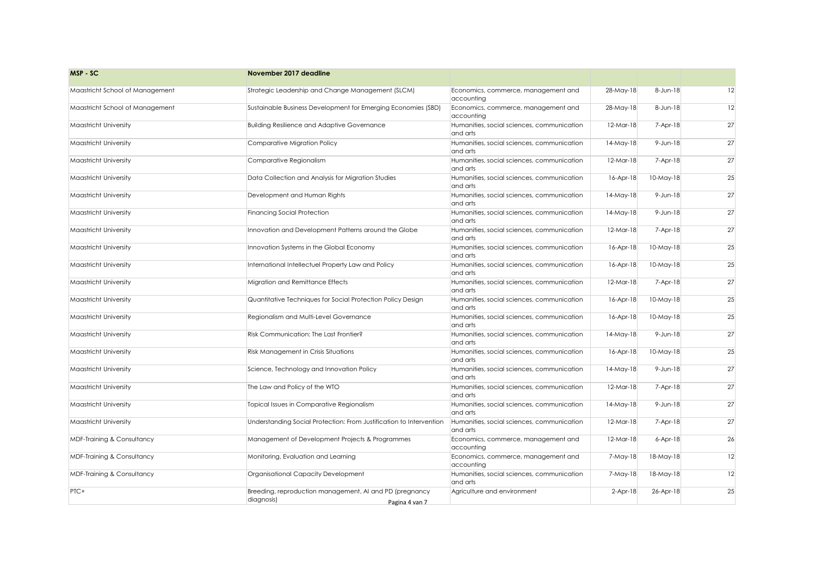| MSP-SC                                | November 2017 deadline                                                                  |                                                        |                 |                |    |
|---------------------------------------|-----------------------------------------------------------------------------------------|--------------------------------------------------------|-----------------|----------------|----|
| Maastricht School of Management       | Strategic Leadership and Change Management (SLCM)                                       | Economics, commerce, management and<br>accounting      | 28-May-18       | 8-Jun-18       | 12 |
| Maastricht School of Management       | Sustainable Business Development for Emerging Economies (SBD)                           | Economics, commerce, management and<br>accounting      | 28-May-18       | 8-Jun-18       | 12 |
| <b>Maastricht University</b>          | <b>Building Resilience and Adaptive Governance</b>                                      | Humanities, social sciences, communication<br>and arts | $12$ -Mar-18    | 7-Apr-18       | 27 |
| <b>Maastricht University</b>          | Comparative Migration Policy                                                            | Humanities, social sciences, communication<br>and arts | $14$ -May- $18$ | $9$ -Jun-18    | 27 |
| <b>Maastricht University</b>          | Comparative Regionalism                                                                 | Humanities, social sciences, communication<br>and arts | $12$ -Mar-18    | $7-Apr-18$     | 27 |
| <b>Maastricht University</b>          | Data Collection and Analysis for Migration Studies                                      | Humanities, social sciences, communication<br>and arts | $16 - Apr - 18$ | $10$ -May-18   | 25 |
| <b>Maastricht University</b>          | Development and Human Rights                                                            | Humanities, social sciences, communication<br>and arts | $14$ -May- $18$ | $9$ -Jun-18    | 27 |
| <b>Maastricht University</b>          | <b>Financing Social Protection</b>                                                      | Humanities, social sciences, communication<br>and arts | $14$ -May-18    | $9$ -Jun-18    | 27 |
| <b>Maastricht University</b>          | Innovation and Development Patterns around the Globe                                    | Humanities, social sciences, communication<br>and arts | $12$ -Mar-18    | $7-Apr-18$     | 27 |
| <b>Maastricht University</b>          | Innovation Systems in the Global Economy                                                | Humanities, social sciences, communication<br>and arts | $16 - Apr - 18$ | $10$ -May-18   | 25 |
| <b>Maastricht University</b>          | International Intellectuel Property Law and Policy                                      | Humanities, social sciences, communication<br>and arts | $16 - Apr - 18$ | $10$ -May-18   | 25 |
| <b>Maastricht University</b>          | Migration and Remittance Effects                                                        | Humanities, social sciences, communication<br>and arts | $12$ -Mar-18    | $7-Apr-18$     | 27 |
| Maastricht University                 | Quantitative Techniques for Social Protection Policy Design                             | Humanities, social sciences, communication<br>and arts | $16 - Apr - 18$ | $10$ -May-18   | 25 |
| <b>Maastricht University</b>          | <b>Regionalism and Multi-Level Governance</b>                                           | Humanities, social sciences, communication<br>and arts | $16 - Apr - 18$ | $10$ -May-18   | 25 |
| <b>Maastricht University</b>          | Risk Communication: The Last Frontier?                                                  | Humanities, social sciences, communication<br>and arts | $14$ -May- $18$ | $9$ -Jun-18    | 27 |
| <b>Maastricht University</b>          | <b>Risk Management in Crisis Situations</b>                                             | Humanities, social sciences, communication<br>and arts | $16 - Apr - 18$ | $10$ -May-18   | 25 |
| <b>Maastricht University</b>          | Science, Technology and Innovation Policy                                               | Humanities, social sciences, communication<br>and arts | $14$ -May- $18$ | $9$ -Jun-18    | 27 |
| <b>Maastricht University</b>          | The Law and Policy of the WTO                                                           | Humanities, social sciences, communication<br>and arts | $12$ -Mar-18    | $7-Apr-18$     | 27 |
| <b>Maastricht University</b>          | Topical Issues in Comparative Regionalism                                               | Humanities, social sciences, communication<br>and arts | $14$ -May-18    | $9$ -Jun-18    | 27 |
| <b>Maastricht University</b>          | Understanding Social Protection: From Justification to Intervention                     | Humanities, social sciences, communication<br>and arts | $12$ -Mar-18    | $7-Apr-18$     | 27 |
| <b>MDF-Training &amp; Consultancy</b> | Management of Development Projects & Programmes                                         | Economics, commerce, management and<br>accounting      | $12$ -Mar-18    | $6 - Apr - 18$ | 26 |
| <b>MDF-Training &amp; Consultancy</b> | Monitoring, Evaluation and Learning                                                     | Economics, commerce, management and<br>accounting      | 7-May-18        | $18$ -May-18   | 12 |
| <b>MDF-Training &amp; Consultancy</b> | Organisational Capacity Development                                                     | Humanities, social sciences, communication<br>and arts | 7-May-18        | $18$ -May-18   | 12 |
| PTC+                                  | Breeding, reproduction management, AI and PD (pregnancy<br>diagnosis)<br>Pagina 4 van 7 | Agriculture and environment                            | $2-Apr-18$      | 26-Apr-18      | 25 |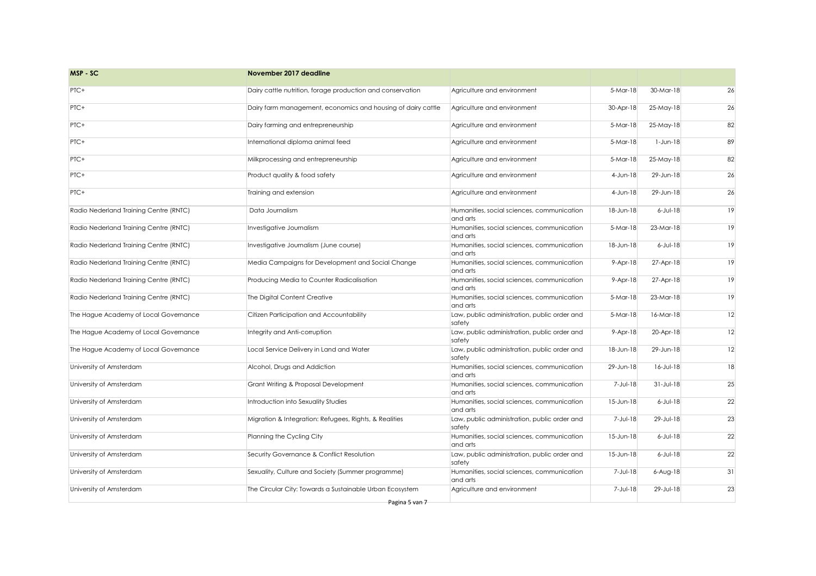| MSP-SC                                 | November 2017 deadline                                       |                                                        |                |                     |    |
|----------------------------------------|--------------------------------------------------------------|--------------------------------------------------------|----------------|---------------------|----|
| PTC+                                   | Dairy cattle nutrition, forage production and conservation   | Agriculture and environment                            | $5-Mar-18$     | 30-Mar-18           | 26 |
| PTC+                                   | Dairy farm management, economics and housing of dairy cattle | Agriculture and environment                            | 30-Apr-18      | $25$ -May-18        | 26 |
| PTC+                                   | Dairy farming and entrepreneurship                           | Agriculture and environment                            | 5-Mar-18       | $25$ -May-18        | 82 |
| PTC+                                   | International diploma animal feed                            | Agriculture and environment                            | 5-Mar-18       | $1 - Jun-18$        | 89 |
| PTC+                                   | Milkprocessing and entrepreneurship                          | Agriculture and environment                            | 5-Mar-18       | $25$ -May-18        | 82 |
| PTC+                                   | Product quality & food safety                                | Agriculture and environment                            | $4$ -Jun-18    | 29-Jun-18           | 26 |
| PTC+                                   | Training and extension                                       | Agriculture and environment                            | $4$ -Jun-18    | 29-Jun-18           | 26 |
| Radio Nederland Training Centre (RNTC) | Data Journalism                                              | Humanities, social sciences, communication<br>and arts | 18-Jun-18      | $6$ -Jul-18         | 19 |
| Radio Nederland Training Centre (RNTC) | Investigative Journalism                                     | Humanities, social sciences, communication<br>and arts | $5-Mar-18$     | 23-Mar-18           | 19 |
| Radio Nederland Training Centre (RNTC) | Investigative Journalism (June course)                       | Humanities, social sciences, communication<br>and arts | 18-Jun-18      | $6$ -Jul-18         | 19 |
| Radio Nederland Training Centre (RNTC) | Media Campaigns for Development and Social Change            | Humanities, social sciences, communication<br>and arts | $9-Apr-18$     | 27-Apr-18           | 19 |
| Radio Nederland Training Centre (RNTC) | Producing Media to Counter Radicalisation                    | Humanities, social sciences, communication<br>and arts | $9-Apr-18$     | 27-Apr-18           | 19 |
| Radio Nederland Training Centre (RNTC) | The Digital Content Creative                                 | Humanities, social sciences, communication<br>and arts | 5-Mar-18       | $23$ -Mar-18        | 19 |
| The Hague Academy of Local Governance  | Citizen Participation and Accountability                     | Law, public administration, public order and<br>safety | $5-Mar-18$     | 16-Mar-18           | 12 |
| The Hague Academy of Local Governance  | Integrity and Anti-corruption                                | Law, public administration, public order and<br>safety | $9 - Apr - 18$ | 20-Apr-18           | 12 |
| The Hague Academy of Local Governance  | Local Service Delivery in Land and Water                     | Law, public administration, public order and<br>safety | 18-Jun-18      | 29-Jun-18           | 12 |
| University of Amsterdam                | Alcohol, Drugs and Addiction                                 | Humanities, social sciences, communication<br>and arts | 29-Jun-18      | $16 - JUI - 18$     | 18 |
| University of Amsterdam                | <b>Grant Writing &amp; Proposal Development</b>              | Humanities, social sciences, communication<br>and arts | $7 - J$ ul-18  | $31$ -Jul-18        | 25 |
| University of Amsterdam                | Introduction into Sexuality Studies                          | Humanities, social sciences, communication<br>and arts | 15-Jun-18      | $6$ -Jul-18         | 22 |
| University of Amsterdam                | Migration & Integration: Refugees, Rights, & Realities       | Law, public administration, public order and<br>safety | 7-Jul-18       | 29-Jul-18           | 23 |
| University of Amsterdam                | Planning the Cycling City                                    | Humanities, social sciences, communication<br>and arts | 15-Jun-18      | $6$ -Jul-18         | 22 |
| University of Amsterdam                | Security Governance & Conflict Resolution                    | Law, public administration, public order and<br>safety | 15-Jun-18      | $6$ -Jul-18         | 22 |
| University of Amsterdam                | Sexuality, Culture and Society (Summer programme)            | Humanities, social sciences, communication<br>and arts | $7 - J$ ul-18  | $6 - A \cup g - 18$ | 31 |
| University of Amsterdam                | The Circular City: Towards a Sustainable Urban Ecosystem     | Agriculture and environment                            | 7-Jul-18       | 29-Jul-18           | 23 |
|                                        | Pagina 5 van 7                                               |                                                        |                |                     |    |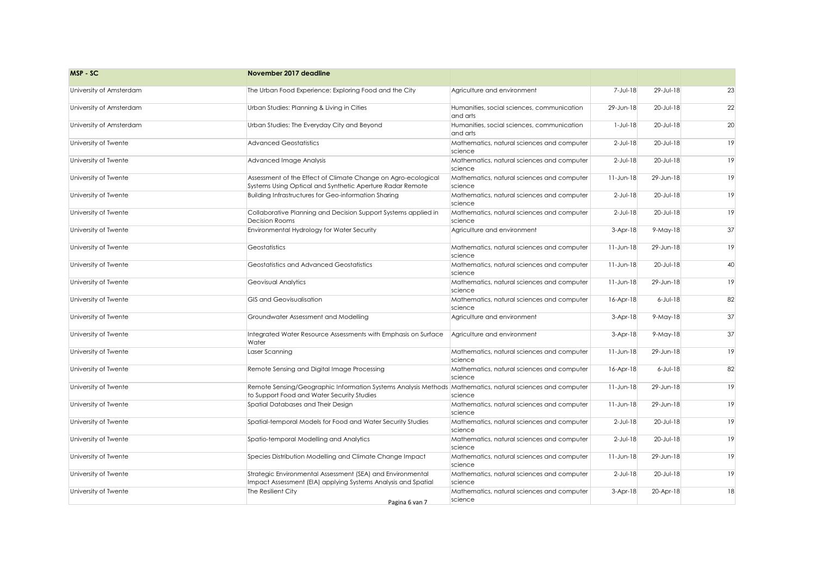| MSP-SC                  | November 2017 deadline                                                                                                                                  |                                                        |                 |                 |    |
|-------------------------|---------------------------------------------------------------------------------------------------------------------------------------------------------|--------------------------------------------------------|-----------------|-----------------|----|
| University of Amsterdam | The Urban Food Experience: Exploring Food and the City                                                                                                  | Agriculture and environment                            | 7-Jul-18        | 29-Jul-18       | 23 |
| University of Amsterdam | Urban Studies: Planning & Living in Cities                                                                                                              | Humanities, social sciences, communication<br>and arts | 29-Jun-18       | 20-Jul-18       | 22 |
| University of Amsterdam | Urban Studies: The Everyday City and Beyond                                                                                                             | Humanities, social sciences, communication<br>and arts | $1-Jul-18$      | $20 - Jul - 18$ | 20 |
| University of Twente    | <b>Advanced Geostatistics</b>                                                                                                                           | Mathematics, natural sciences and computer<br>science  | $2$ -Jul-18     | 20-Jul-18       | 19 |
| University of Twente    | Advanced Image Analysis                                                                                                                                 | Mathematics, natural sciences and computer<br>science  | $2-Jul-18$      | 20-Jul-18       | 19 |
| University of Twente    | Assessment of the Effect of Climate Change on Agro-ecological<br>Systems Using Optical and Synthetic Aperture Radar Remote                              | Mathematics, natural sciences and computer<br>science  | $11 - Jun-18$   | 29-Jun-18       | 19 |
| University of Twente    | <b>Building Infrastructures for Geo-information Sharing</b>                                                                                             | Mathematics, natural sciences and computer<br>science  | $2-Jul-18$      | $20 - Jul - 18$ | 19 |
| University of Twente    | Collaborative Planning and Decision Support Systems applied in<br>Decision Rooms                                                                        | Mathematics, natural sciences and computer<br>science  | $2$ -Jul-18     | $20 - Jul - 18$ | 19 |
| University of Twente    | <b>Environmental Hydrology for Water Security</b>                                                                                                       | Agriculture and environment                            | $3-Apr-18$      | $9-May-18$      | 37 |
| University of Twente    | Geostatistics                                                                                                                                           | Mathematics, natural sciences and computer<br>science  | $11 - Jun-18$   | 29-Jun-18       | 19 |
| University of Twente    | Geostatistics and Advanced Geostatistics                                                                                                                | Mathematics, natural sciences and computer<br>science  | $11 - Jun-18$   | $20 - Jul - 18$ | 40 |
| University of Twente    | <b>Geovisual Analytics</b>                                                                                                                              | Mathematics, natural sciences and computer<br>science  | $11 - Jun-18$   | 29-Jun-18       | 19 |
| University of Twente    | <b>GIS and Geovisualisation</b>                                                                                                                         | Mathematics, natural sciences and computer<br>science  | $16 - Apr - 18$ | $6$ -Jul-18     | 82 |
| University of Twente    | Groundwater Assessment and Modelling                                                                                                                    | Agriculture and environment                            | $3-Apr-18$      | $9-May-18$      | 37 |
| University of Twente    | Integrated Water Resource Assessments with Emphasis on Surface<br>Water                                                                                 | Agriculture and environment                            | $3-Apr-18$      | $9-May-18$      | 37 |
| University of Twente    | Laser Scanning                                                                                                                                          | Mathematics, natural sciences and computer<br>science  | $11 - Jun-18$   | 29-Jun-18       | 19 |
| University of Twente    | Remote Sensing and Digital Image Processing                                                                                                             | Mathematics, natural sciences and computer<br>science  | $16 - Apr - 18$ | $6$ -Jul-18     | 82 |
| University of Twente    | Remote Sensing/Geographic Information Systems Analysis Methods Mathematics, natural sciences and computer<br>to Support Food and Water Security Studies | science                                                | $11 - Jun-18$   | 29-Jun-18       | 19 |
| University of Twente    | Spatial Databases and Their Design                                                                                                                      | Mathematics, natural sciences and computer<br>science  | $11 - Jun-18$   | 29-Jun-18       | 19 |
| University of Twente    | Spatial-temporal Models for Food and Water Security Studies                                                                                             | Mathematics, natural sciences and computer<br>science  | $2$ -Jul-18     | $20 - Jul - 18$ | 19 |
| University of Twente    | Spatio-temporal Modelling and Analytics                                                                                                                 | Mathematics, natural sciences and computer<br>science  | $2$ -Jul-18     | $20 - Jul - 18$ | 19 |
| University of Twente    | Species Distribution Modelling and Climate Change Impact                                                                                                | Mathematics, natural sciences and computer<br>science  | $11 - Jun-18$   | 29-Jun-18       | 19 |
| University of Twente    | Strategic Environmental Assessment (SEA) and Environmental<br>Impact Assessment (EIA) applying Systems Analysis and Spatial                             | Mathematics, natural sciences and computer<br>science  | $2$ -Jul-18     | $20 - Jul - 18$ | 19 |
| University of Twente    | The Resilient City<br>Pagina 6 van 7                                                                                                                    | Mathematics, natural sciences and computer<br>science  | $3-Apr-18$      | 20-Apr-18       | 18 |